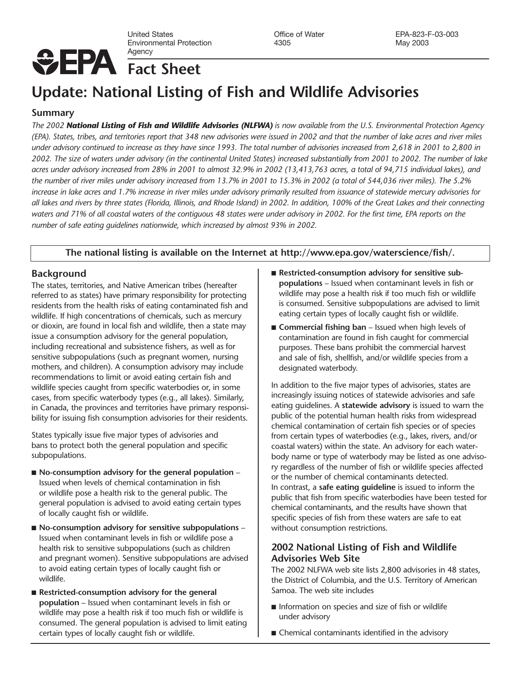United States Office of Water EPA-823-F-03-003 Environmental Protection Agency

# **Fact Sheet**

# **Update: National Listing of Fish and Wildlife Advisories**

## **Summary**

*The 2002 National Listing of Fish and Wildlife Advisories (NLFWA) is now available from the U.S. Environmental Protection Agency (EPA). States, tribes, and territories report that 348 new advisories were issued in 2002 and that the number of lake acres and river miles under advisory continued to increase as they have since 1993. The total number of advisories increased from 2,618 in 2001 to 2,800 in 2002. The size of waters under advisory (in the continental United States) increased substantially from 2001 to 2002. The number of lake acres under advisory increased from 28% in 2001 to almost 32.9% in 2002 (13,413,763 acres, a total of 94,715 individual lakes), and the number of river miles under advisory increased from 13.7% in 2001 to 15.3% in 2002 (a total of 544,036 river miles). The 5.2% increase in lake acres and 1.7% increase in river miles under advisory primarily resulted from issuance of statewide mercury advisories for all lakes and rivers by three states (Florida, Illinois, and Rhode Island) in 2002. In addition, 100% of the Great Lakes and their connecting waters and 71% of all coastal waters of the contiguous 48 states were under advisory in 2002. For the first time, EPA reports on the number of safe eating guidelines nationwide, which increased by almost 93% in 2002.* 

## **The national listing is available on the Internet at http://www.epa.gov/waterscience/fish/.**

## **Background**

The states, territories, and Native American tribes (hereafter referred to as states) have primary responsibility for protecting residents from the health risks of eating contaminated fish and wildlife. If high concentrations of chemicals, such as mercury or dioxin, are found in local fish and wildlife, then a state may issue a consumption advisory for the general population, including recreational and subsistence fishers, as well as for sensitive subpopulations (such as pregnant women, nursing mothers, and children). A consumption advisory may include recommendations to limit or avoid eating certain fish and wildlife species caught from specific waterbodies or, in some cases, from specific waterbody types (e.g., all lakes). Similarly, in Canada, the provinces and territories have primary responsibility for issuing fish consumption advisories for their residents.

States typically issue five major types of advisories and bans to protect both the general population and specific subpopulations.

- **No-consumption advisory for the general population** Issued when levels of chemical contamination in fish or wildlife pose a health risk to the general public. The general population is advised to avoid eating certain types of locally caught fish or wildlife.
- **No-consumption advisory for sensitive subpopulations** Issued when contaminant levels in fish or wildlife pose a health risk to sensitive subpopulations (such as children and pregnant women). Sensitive subpopulations are advised to avoid eating certain types of locally caught fish or wildlife.
- **Restricted-consumption advisory for the general population** – Issued when contaminant levels in fish or wildlife may pose a health risk if too much fish or wildlife is consumed. The general population is advised to limit eating certain types of locally caught fish or wildlife.
- Restricted-consumption advisory for sensitive sub**populations** – Issued when contaminant levels in fish or wildlife may pose a health risk if too much fish or wildlife is consumed. Sensitive subpopulations are advised to limit eating certain types of locally caught fish or wildlife.
- **Commercial fishing ban** Issued when high levels of contamination are found in fish caught for commercial purposes. These bans prohibit the commercial harvest and sale of fish, shellfish, and/or wildlife species from a designated waterbody.

In addition to the five major types of advisories, states are increasingly issuing notices of statewide advisories and safe eating guidelines. A **statewide advisory** is issued to warn the public of the potential human health risks from widespread chemical contamination of certain fish species or of species from certain types of waterbodies (e.g., lakes, rivers, and/or coastal waters) within the state. An advisory for each waterbody name or type of waterbody may be listed as one advisory regardless of the number of fish or wildlife species affected or the number of chemical contaminants detected. In contrast, a **safe eating guideline** is issued to inform the public that fish from specific waterbodies have been tested for chemical contaminants, and the results have shown that specific species of fish from these waters are safe to eat without consumption restrictions.

## **2002 National Listing of Fish and Wildlife Advisories Web Site**

The 2002 NLFWA web site lists 2,800 advisories in 48 states, the District of Columbia, and the U.S. Territory of American Samoa. The web site includes

- Information on species and size of fish or wildlife under advisory
- Chemical contaminants identified in the advisory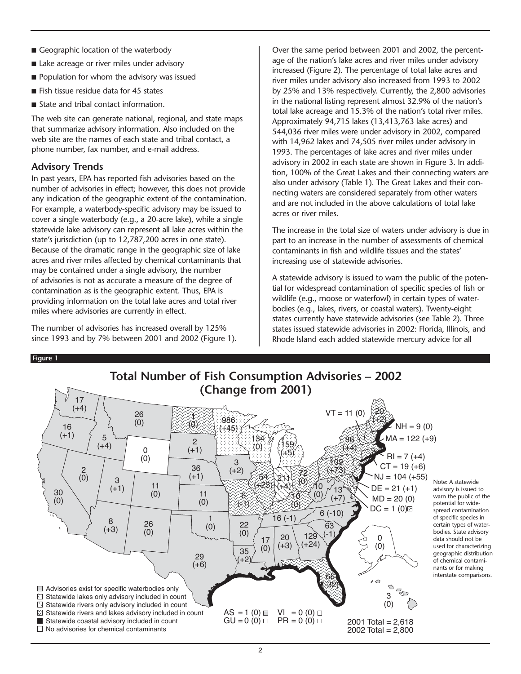- Geographic location of the waterbody
- Lake acreage or river miles under advisory
- Population for whom the advisory was issued
- Fish tissue residue data for 45 states
- State and tribal contact information.

The web site can generate national, regional, and state maps that summarize advisory information. Also included on the web site are the names of each state and tribal contact, a phone number, fax number, and e-mail address.

# **Advisory Trends**

In past years, EPA has reported fish advisories based on the number of advisories in effect; however, this does not provide any indication of the geographic extent of the contamination. For example, a waterbody-specific advisory may be issued to cover a single waterbody (e.g., a 20-acre lake), while a single statewide lake advisory can represent all lake acres within the state's jurisdiction (up to 12,787,200 acres in one state). Because of the dramatic range in the geographic size of lake acres and river miles affected by chemical contaminants that may be contained under a single advisory, the number of advisories is not as accurate a measure of the degree of contamination as is the geographic extent. Thus, EPA is providing information on the total lake acres and total river miles where advisories are currently in effect.

The number of advisories has increased overall by 125% since 1993 and by 7% between 2001 and 2002 (Figure 1).

Over the same period between 2001 and 2002, the percentage of the nation's lake acres and river miles under advisory increased (Figure 2). The percentage of total lake acres and river miles under advisory also increased from 1993 to 2002 by 25% and 13% respectively. Currently, the 2,800 advisories in the national listing represent almost 32.9% of the nation's total lake acreage and 15.3% of the nation's total river miles. Approximately 94,715 lakes (13,413,763 lake acres) and 544,036 river miles were under advisory in 2002, compared with 14,962 lakes and 74,505 river miles under advisory in 1993. The percentages of lake acres and river miles under advisory in 2002 in each state are shown in Figure 3. In addition, 100% of the Great Lakes and their connecting waters are also under advisory (Table 1). The Great Lakes and their connecting waters are considered separately from other waters and are not included in the above calculations of total lake acres or river miles.

The increase in the total size of waters under advisory is due in part to an increase in the number of assessments of chemical contaminants in fish and wildlife tissues and the states' increasing use of statewide advisories.

A statewide advisory is issued to warn the public of the potential for widespread contamination of specific species of fish or wildlife (e.g., moose or waterfowl) in certain types of waterbodies (e.g., lakes, rivers, or coastal waters). Twenty-eight states currently have statewide advisories (see Table 2). Three states issued statewide advisories in 2002: Florida, Illinois, and Rhode Island each added statewide mercury advice for all

#### **Figure 1**

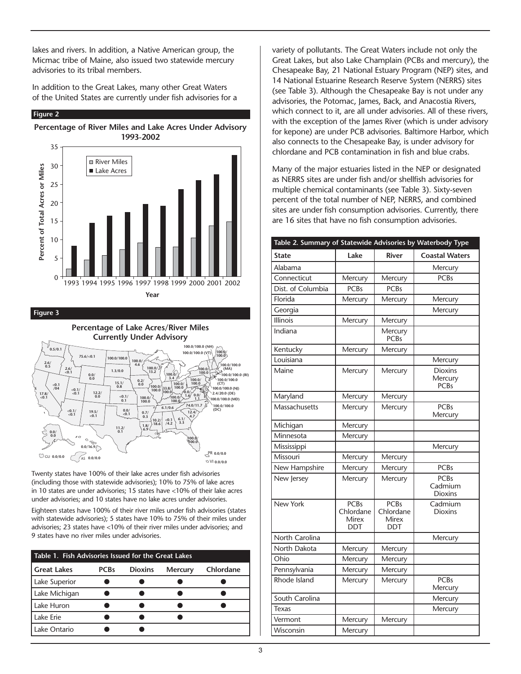lakes and rivers. In addition, a Native American group, the Micmac tribe of Maine, also issued two statewide mercury advisories to its tribal members.

In addition to the Great Lakes, many other Great Waters of the United States are currently under fish advisories for a

#### **Figure 2**





**Figure 3**



Twenty states have 100% of their lake acres under fish advisories (including those with statewide advisories); 10% to 75% of lake acres in 10 states are under advisories; 15 states have <10% of their lake acres under advisories; and 10 states have no lake acres under advisories.

Eighteen states have 100% of their river miles under fish advisories (states with statewide advisories); 5 states have 10% to 75% of their miles under advisories; 23 states have <10% of their river miles under advisories; and 9 states have no river miles under advisories.

| Table 1. Fish Advisories Issued for the Great Lakes |             |                |                |           |
|-----------------------------------------------------|-------------|----------------|----------------|-----------|
| Great Lakes                                         | <b>PCBs</b> | <b>Dioxins</b> | <b>Mercury</b> | Chlordane |
| Lake Superior                                       |             |                |                |           |
| Lake Michigan                                       |             |                |                |           |
| Lake Huron                                          |             |                |                |           |
| Lake Erie                                           |             |                |                |           |
| Lake Ontario                                        |             |                |                |           |

variety of pollutants. The Great Waters include not only the Great Lakes, but also Lake Champlain (PCBs and mercury), the Chesapeake Bay, 21 National Estuary Program (NEP) sites, and 14 National Estuarine Research Reserve System (NERRS) sites (see Table 3). Although the Chesapeake Bay is not under any advisories, the Potomac, James, Back, and Anacostia Rivers, which connect to it, are all under advisories. All of these rivers, with the exception of the James River (which is under advisory for kepone) are under PCB advisories. Baltimore Harbor, which also connects to the Chesapeake Bay, is under advisory for chlordane and PCB contamination in fish and blue crabs.

Many of the major estuaries listed in the NEP or designated as NERRS sites are under fish and/or shellfish advisories for multiple chemical contaminants (see Table 3). Sixty-seven percent of the total number of NEP, NERRS, and combined sites are under fish consumption advisories. Currently, there are 16 sites that have no fish consumption advisories.

| Table 2. Summary of Statewide Advisories by Waterbody Type |                                                        |                                                 |                                          |  |  |
|------------------------------------------------------------|--------------------------------------------------------|-------------------------------------------------|------------------------------------------|--|--|
| <b>State</b>                                               | Lake                                                   | <b>River</b>                                    | <b>Coastal Waters</b>                    |  |  |
| Alabama                                                    |                                                        |                                                 | Mercury                                  |  |  |
| Connecticut                                                | Mercury                                                | Mercury                                         | <b>PCBs</b>                              |  |  |
| Dist. of Columbia                                          | <b>PCBs</b>                                            | <b>PCBs</b>                                     |                                          |  |  |
| Florida                                                    | Mercury                                                | Mercury                                         | Mercury                                  |  |  |
| Georgia                                                    |                                                        |                                                 | Mercury                                  |  |  |
| <b>Illinois</b>                                            | Mercury                                                | Mercury                                         |                                          |  |  |
| Indiana                                                    |                                                        | Mercury<br><b>PCBs</b>                          |                                          |  |  |
| Kentucky                                                   | Mercury                                                | Mercury                                         |                                          |  |  |
| Louisiana                                                  |                                                        |                                                 | Mercury                                  |  |  |
| Maine                                                      | Mercury                                                | Mercury                                         | <b>Dioxins</b><br>Mercury<br><b>PCBs</b> |  |  |
| Maryland                                                   | Mercury                                                | Mercury                                         |                                          |  |  |
| Massachusetts                                              | Mercury                                                | Mercury                                         | <b>PCBs</b><br>Mercury                   |  |  |
| Michigan                                                   | Mercury                                                |                                                 |                                          |  |  |
| Minnesota                                                  | Mercury                                                |                                                 |                                          |  |  |
| Mississippi                                                |                                                        |                                                 | Mercury                                  |  |  |
| Missouri                                                   | Mercury                                                | Mercury                                         |                                          |  |  |
| New Hampshire                                              | Mercury                                                | Mercury                                         | <b>PCBs</b>                              |  |  |
| New Jersey                                                 | Mercury                                                | Mercury                                         | <b>PCBs</b><br>Cadmium<br><b>Dioxins</b> |  |  |
| New York                                                   | <b>PCBs</b><br>Chlordane<br><b>Mirex</b><br><b>DDT</b> | <b>PCBs</b><br>Chlordane<br>Mirex<br><b>DDT</b> | Cadmium<br><b>Dioxins</b>                |  |  |
| North Carolina                                             |                                                        |                                                 | Mercury                                  |  |  |
| North Dakota                                               | Mercury                                                | Mercury                                         |                                          |  |  |
| Ohio                                                       | Mercury                                                | Mercury                                         |                                          |  |  |
| Pennsylvania                                               | Mercury                                                | Mercury                                         |                                          |  |  |
| Rhode Island                                               | Mercury                                                | Mercury                                         | <b>PCBs</b><br>Mercury                   |  |  |
| South Carolina                                             |                                                        |                                                 | Mercury                                  |  |  |
| Texas                                                      |                                                        |                                                 | Mercury                                  |  |  |
| Vermont                                                    | Mercury                                                | Mercury                                         |                                          |  |  |
| Wisconsin                                                  | Mercury                                                |                                                 |                                          |  |  |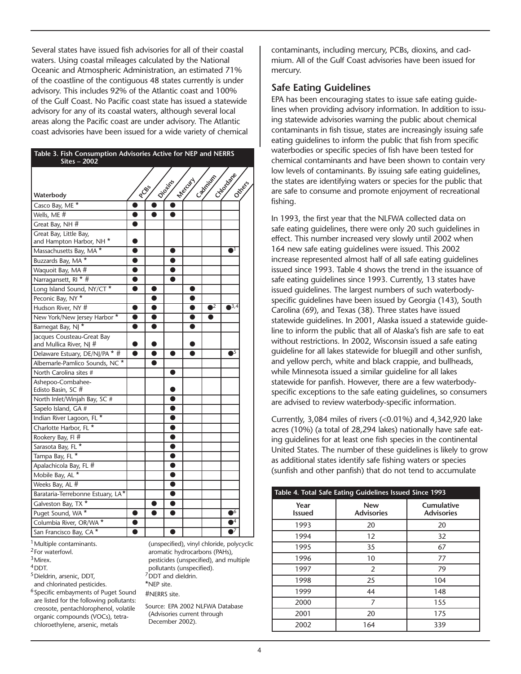Several states have issued fish advisories for all of their coastal waters. Using coastal mileages calculated by the National Oceanic and Atmospheric Administration, an estimated 71% of the coastline of the contiguous 48 states currently is under advisory. This includes 92% of the Atlantic coast and 100% of the Gulf Coast. No Pacific coast state has issued a statewide advisory for any of its coastal waters, although several local areas along the Pacific coast are under advisory. The Atlantic coast advisories have been issued for a wide variety of chemical

| Table 3. Fish Consumption Advisories Active for NEP and NERRS<br><b>Sites - 2002</b> |           |           |           |           |             |                        |  |
|--------------------------------------------------------------------------------------|-----------|-----------|-----------|-----------|-------------|------------------------|--|
|                                                                                      |           | PCB5      | Diotiki   | Mercycl   | Cadmillan   | Cities dans<br>Octress |  |
| Waterbody                                                                            |           |           |           |           |             |                        |  |
| Casco Bay, ME <sup>*</sup>                                                           |           |           |           |           |             |                        |  |
| Wells, ME #                                                                          | $\bullet$ | ●         |           |           |             |                        |  |
| Great Bay, NH #                                                                      | $\bullet$ |           |           |           |             |                        |  |
| Great Bay, Little Bay,                                                               |           |           |           |           |             |                        |  |
| and Hampton Harbor, NH <sup>*</sup>                                                  |           |           |           |           |             |                        |  |
| Massachusetts Bay, MA *                                                              | $\bullet$ |           | $\bullet$ |           |             | $\bullet$ <sup>1</sup> |  |
| Buzzards Bay, MA <sup>*</sup>                                                        | $\bullet$ |           | $\bullet$ |           |             |                        |  |
| Waquoit Bay, MA #                                                                    | $\bullet$ |           | ●         |           |             |                        |  |
| Narragansett, RI * #                                                                 | $\bullet$ |           |           |           |             |                        |  |
| Long Island Sound, NY/CT*                                                            | ●         | ●         |           | O         |             |                        |  |
| Peconic Bay, NY*                                                                     |           | ●         |           | ●         |             |                        |  |
| Hudson River, NY #                                                                   | $\bullet$ | $\bullet$ |           | $\bullet$ | $\bullet^2$ | $\bullet^{3,4}$        |  |
| New York/New Jersey Harbor*                                                          | $\bullet$ |           |           | ●         | $\bullet$   |                        |  |
| Barnegat Bay, NJ *                                                                   | $\bullet$ | 0         |           | ●         |             |                        |  |
| Jacques Cousteau-Great Bay                                                           |           |           |           |           |             |                        |  |
| and Mullica River, NJ #                                                              | 0         |           |           |           |             |                        |  |
| Delaware Estuary, DE/NJ/PA * #                                                       | $\bullet$ | 0         | ●         |           |             | $\overline{\bullet^5}$ |  |
| Albemarle-Pamlico Sounds, NC *                                                       |           | ●         |           |           |             |                        |  |
| North Carolina sites #                                                               |           |           |           |           |             |                        |  |
| Ashepoo-Combahee-                                                                    |           |           |           |           |             |                        |  |
| Edisto Basin, SC #<br>North Inlet/Winjah Bay, SC #                                   |           |           |           |           |             |                        |  |
| Sapelo Island, GA #                                                                  |           |           |           |           |             |                        |  |
| Indian River Lagoon, FL <sup>*</sup>                                                 |           |           |           |           |             |                        |  |
| Charlotte Harbor, FL <sup>*</sup>                                                    |           |           | ●         |           |             |                        |  |
| Rookery Bay, Fl #                                                                    |           |           |           |           |             |                        |  |
| Sarasota Bay, FL *                                                                   |           |           |           |           |             |                        |  |
| Tampa Bay, FL *                                                                      |           |           |           |           |             |                        |  |
| Apalachicola Bay, FL #                                                               |           |           |           |           |             |                        |  |
| Mobile Bay, AL *                                                                     |           |           | ●         |           |             |                        |  |
| Weeks Bay, AL #                                                                      |           |           | ●         |           |             |                        |  |
| Barataria-Terrebonne Estuary, LA*                                                    |           |           | O         |           |             |                        |  |
| Galveston Bay, TX *                                                                  |           |           | O         |           |             |                        |  |
| Puget Sound, WA *                                                                    | ●         |           |           |           |             | $\overline{\bullet^6}$ |  |
| Columbia River, OR/WA *                                                              | $\bullet$ |           |           |           |             | $\overline{\bullet^4}$ |  |
| San Francisco Bay, CA *                                                              | $\bullet$ |           | $\bullet$ |           |             | $\overline{\bullet}$   |  |

<sup>1</sup> Multiple contaminants. 2For waterfowl.

<sup>3</sup>Mirex. 4DDT.

5Dieldrin, arsenic, DDT, and chlorinated pesticides.

6Specific embayments of Puget Sound are listed for the following pollutants: creosote, pentachlorophenol, volatile organic compounds (VOCs), tetrachloroethylene, arsenic, metals

(unspecified), vinyl chloride, polycyclic aromatic hydrocarbons (PAHs), pesticides (unspecified), and multiple pollutants (unspecified).  $7$ DDT and dieldrin. \*NEP site. #NERRS site. Source: EPA 2002 NLFWA Database

(Advisories current through December 2002).

contaminants, including mercury, PCBs, dioxins, and cadmium. All of the Gulf Coast advisories have been issued for mercury.

## **Safe Eating Guidelines**

EPA has been encouraging states to issue safe eating guidelines when providing advisory information. In addition to issuing statewide advisories warning the public about chemical contaminants in fish tissue, states are increasingly issuing safe eating guidelines to inform the public that fish from specific waterbodies or specific species of fish have been tested for chemical contaminants and have been shown to contain very low levels of contaminants. By issuing safe eating guidelines, the states are identifying waters or species for the public that are safe to consume and promote enjoyment of recreational fishing.

In 1993, the first year that the NLFWA collected data on safe eating guidelines, there were only 20 such guidelines in effect. This number increased very slowly until 2002 when 164 new safe eating guidelines were issued. This 2002 increase represented almost half of all safe eating guidelines issued since 1993. Table 4 shows the trend in the issuance of safe eating guidelines since 1993. Currently, 13 states have issued guidelines. The largest numbers of such waterbodyspecific guidelines have been issued by Georgia (143), South Carolina (69), and Texas (38). Three states have issued statewide guidelines. In 2001, Alaska issued a statewide guideline to inform the public that all of Alaska's fish are safe to eat without restrictions. In 2002, Wisconsin issued a safe eating guideline for all lakes statewide for bluegill and other sunfish, and yellow perch, white and black crappie, and bullheads, while Minnesota issued a similar guideline for all lakes statewide for panfish. However, there are a few waterbodyspecific exceptions to the safe eating guidelines, so consumers are advised to review waterbody-specific information.

Currently, 3,084 miles of rivers (<0.01%) and 4,342,920 lake acres (10%) (a total of 28,294 lakes) nationally have safe eating guidelines for at least one fish species in the continental United States. The number of these guidelines is likely to grow as additional states identify safe fishing waters or species (sunfish and other panfish) that do not tend to accumulate

| Table 4. Total Safe Eating Guidelines Issued Since 1993 |                                 |                                 |  |
|---------------------------------------------------------|---------------------------------|---------------------------------|--|
| Year<br><b>Issued</b>                                   | <b>New</b><br><b>Advisories</b> | Cumulative<br><b>Advisories</b> |  |
| 1993                                                    | 20                              | 20                              |  |
| 1994                                                    | 12                              | 32                              |  |
| 1995                                                    | 35                              | 67                              |  |
| 1996                                                    | 10                              | 77                              |  |
| 1997                                                    | 2                               | 79                              |  |
| 1998                                                    | 25                              | 104                             |  |
| 1999                                                    | 44                              | 148                             |  |
| 2000                                                    | 7                               | 155                             |  |
| 2001                                                    | 20                              | 175                             |  |
| 2002                                                    | 164                             | 339                             |  |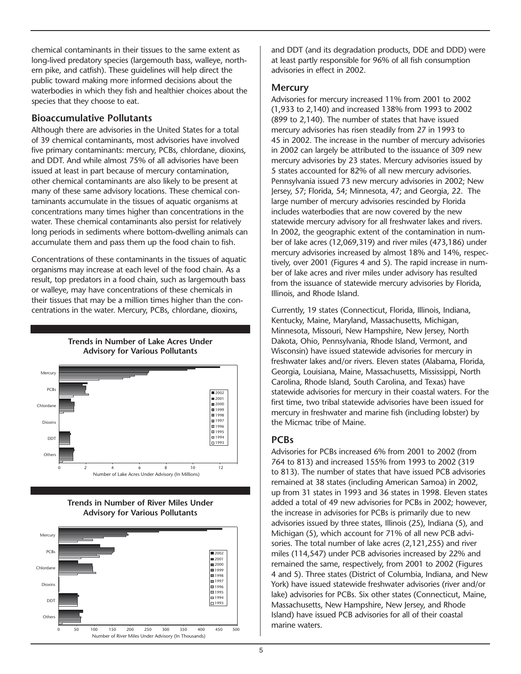chemical contaminants in their tissues to the same extent as long-lived predatory species (largemouth bass, walleye, northern pike, and catfish). These guidelines will help direct the public toward making more informed decisions about the waterbodies in which they fish and healthier choices about the species that they choose to eat.

## **Bioaccumulative Pollutants**

Although there are advisories in the United States for a total of 39 chemical contaminants, most advisories have involved five primary contaminants: mercury, PCBs, chlordane, dioxins, and DDT. And while almost 75% of all advisories have been issued at least in part because of mercury contamination, other chemical contaminants are also likely to be present at many of these same advisory locations. These chemical contaminants accumulate in the tissues of aquatic organisms at concentrations many times higher than concentrations in the water. These chemical contaminants also persist for relatively long periods in sediments where bottom-dwelling animals can accumulate them and pass them up the food chain to fish.

Concentrations of these contaminants in the tissues of aquatic organisms may increase at each level of the food chain. As a result, top predators in a food chain, such as largemouth bass or walleye, may have concentrations of these chemicals in their tissues that may be a million times higher than the concentrations in the water. Mercury, PCBs, chlordane, dioxins,

#### **Trends in Number of Lake Acres Under Advisory for Various Pollutants**







and DDT (and its degradation products, DDE and DDD) were at least partly responsible for 96% of all fish consumption advisories in effect in 2002.

## **Mercury**

Advisories for mercury increased 11% from 2001 to 2002 (1,933 to 2,140) and increased 138% from 1993 to 2002 (899 to 2,140). The number of states that have issued mercury advisories has risen steadily from 27 in 1993 to 45 in 2002. The increase in the number of mercury advisories in 2002 can largely be attributed to the issuance of 309 new mercury advisories by 23 states. Mercury advisories issued by 5 states accounted for 82% of all new mercury advisories. Pennsylvania issued 73 new mercury advisories in 2002; New Jersey, 57; Florida, 54; Minnesota, 47; and Georgia, 22. The large number of mercury advisories rescinded by Florida includes waterbodies that are now covered by the new statewide mercury advisory for all freshwater lakes and rivers. In 2002, the geographic extent of the contamination in number of lake acres (12,069,319) and river miles (473,186) under mercury advisories increased by almost 18% and 14%, respectively, over 2001 (Figures 4 and 5). The rapid increase in number of lake acres and river miles under advisory has resulted from the issuance of statewide mercury advisories by Florida, Illinois, and Rhode Island.

Currently, 19 states (Connecticut, Florida, Illinois, Indiana, Kentucky, Maine, Maryland, Massachusetts, Michigan, Minnesota, Missouri, New Hampshire, New Jersey, North Dakota, Ohio, Pennsylvania, Rhode Island, Vermont, and Wisconsin) have issued statewide advisories for mercury in freshwater lakes and/or rivers. Eleven states (Alabama, Florida, Georgia, Louisiana, Maine, Massachusetts, Mississippi, North Carolina, Rhode Island, South Carolina, and Texas) have statewide advisories for mercury in their coastal waters. For the first time, two tribal statewide advisories have been issued for mercury in freshwater and marine fish (including lobster) by the Micmac tribe of Maine.

# **PCBs**

Advisories for PCBs increased 6% from 2001 to 2002 (from 764 to 813) and increased 155% from 1993 to 2002 (319 to 813). The number of states that have issued PCB advisories remained at 38 states (including American Samoa) in 2002, up from 31 states in 1993 and 36 states in 1998. Eleven states added a total of 49 new advisories for PCBs in 2002; however, the increase in advisories for PCBs is primarily due to new advisories issued by three states, Illinois (25), Indiana (5), and Michigan (5), which account for 71% of all new PCB advisories. The total number of lake acres (2,121,255) and river miles (114,547) under PCB advisories increased by 22% and remained the same, respectively, from 2001 to 2002 (Figures 4 and 5). Three states (District of Columbia, Indiana, and New York) have issued statewide freshwater advisories (river and/or lake) advisories for PCBs. Six other states (Connecticut, Maine, Massachusetts, New Hampshire, New Jersey, and Rhode Island) have issued PCB advisories for all of their coastal marine waters.